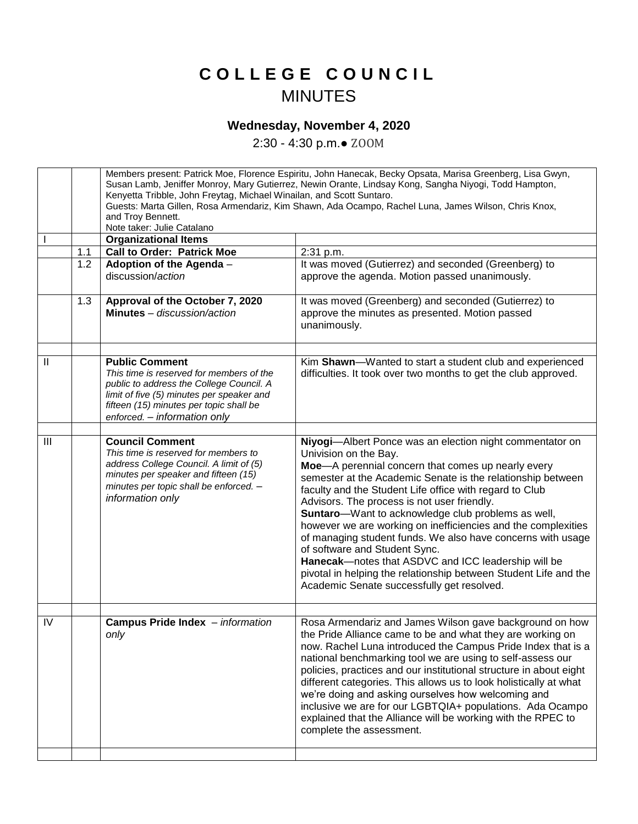## **C O L L E G E C O U N C I L** MINUTES

## **Wednesday, November 4, 2020**

2:30 - 4:30 p.m.● ZOOM

|                |     | Members present: Patrick Moe, Florence Espiritu, John Hanecak, Becky Opsata, Marisa Greenberg, Lisa Gwyn,<br>Susan Lamb, Jeniffer Monroy, Mary Gutierrez, Newin Orante, Lindsay Kong, Sangha Niyogi, Todd Hampton,<br>Kenyetta Tribble, John Freytag, Michael Winailan, and Scott Suntaro.<br>Guests: Marta Gillen, Rosa Armendariz, Kim Shawn, Ada Ocampo, Rachel Luna, James Wilson, Chris Knox,<br>and Troy Bennett.<br>Note taker: Julie Catalano |                                                                                                                                                                                                                                                                                                                                                                                                                                                                                                                                                                                                                                                                                                                  |
|----------------|-----|-------------------------------------------------------------------------------------------------------------------------------------------------------------------------------------------------------------------------------------------------------------------------------------------------------------------------------------------------------------------------------------------------------------------------------------------------------|------------------------------------------------------------------------------------------------------------------------------------------------------------------------------------------------------------------------------------------------------------------------------------------------------------------------------------------------------------------------------------------------------------------------------------------------------------------------------------------------------------------------------------------------------------------------------------------------------------------------------------------------------------------------------------------------------------------|
|                |     | <b>Organizational Items</b>                                                                                                                                                                                                                                                                                                                                                                                                                           |                                                                                                                                                                                                                                                                                                                                                                                                                                                                                                                                                                                                                                                                                                                  |
|                | 1.1 | <b>Call to Order: Patrick Moe</b>                                                                                                                                                                                                                                                                                                                                                                                                                     | 2:31 p.m.                                                                                                                                                                                                                                                                                                                                                                                                                                                                                                                                                                                                                                                                                                        |
|                | 1.2 | Adoption of the Agenda -<br>discussion/action                                                                                                                                                                                                                                                                                                                                                                                                         | It was moved (Gutierrez) and seconded (Greenberg) to<br>approve the agenda. Motion passed unanimously.                                                                                                                                                                                                                                                                                                                                                                                                                                                                                                                                                                                                           |
|                | 1.3 | Approval of the October 7, 2020<br>Minutes - discussion/action                                                                                                                                                                                                                                                                                                                                                                                        | It was moved (Greenberg) and seconded (Gutierrez) to<br>approve the minutes as presented. Motion passed<br>unanimously.                                                                                                                                                                                                                                                                                                                                                                                                                                                                                                                                                                                          |
| $\mathbf{  }$  |     | <b>Public Comment</b><br>This time is reserved for members of the<br>public to address the College Council. A<br>limit of five (5) minutes per speaker and<br>fifteen (15) minutes per topic shall be<br>enforced. - information only                                                                                                                                                                                                                 | Kim Shawn-Wanted to start a student club and experienced<br>difficulties. It took over two months to get the club approved.                                                                                                                                                                                                                                                                                                                                                                                                                                                                                                                                                                                      |
| $\mathbf{III}$ |     | <b>Council Comment</b><br>This time is reserved for members to<br>address College Council. A limit of (5)<br>minutes per speaker and fifteen (15)<br>minutes per topic shall be enforced. -<br>information only                                                                                                                                                                                                                                       | Niyogi-Albert Ponce was an election night commentator on<br>Univision on the Bay.<br>Moe-A perennial concern that comes up nearly every<br>semester at the Academic Senate is the relationship between<br>faculty and the Student Life office with regard to Club<br>Advisors. The process is not user friendly.<br>Suntaro-Want to acknowledge club problems as well,<br>however we are working on inefficiencies and the complexities<br>of managing student funds. We also have concerns with usage<br>of software and Student Sync.<br>Hanecak-notes that ASDVC and ICC leadership will be<br>pivotal in helping the relationship between Student Life and the<br>Academic Senate successfully get resolved. |
| IV             |     | Campus Pride Index - information<br>only                                                                                                                                                                                                                                                                                                                                                                                                              | Rosa Armendariz and James Wilson gave background on how<br>the Pride Alliance came to be and what they are working on<br>now. Rachel Luna introduced the Campus Pride Index that is a<br>national benchmarking tool we are using to self-assess our                                                                                                                                                                                                                                                                                                                                                                                                                                                              |
|                |     |                                                                                                                                                                                                                                                                                                                                                                                                                                                       | policies, practices and our institutional structure in about eight<br>different categories. This allows us to look holistically at what<br>we're doing and asking ourselves how welcoming and<br>inclusive we are for our LGBTQIA+ populations. Ada Ocampo<br>explained that the Alliance will be working with the RPEC to<br>complete the assessment.                                                                                                                                                                                                                                                                                                                                                           |